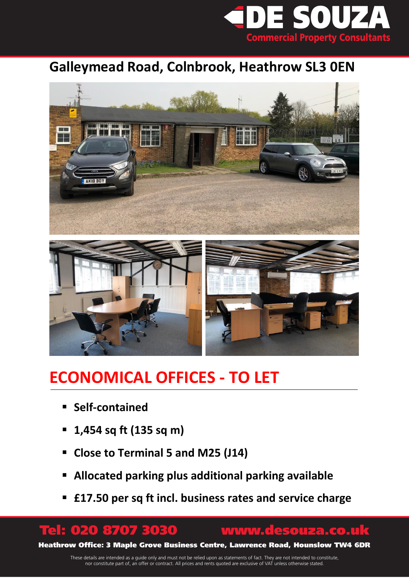

## **Galleymead Road, Colnbrook, Heathrow SL3 0EN**





# **ECONOMICAL OFFICES - TO LET**

- **Self-contained**
- **1,454 sq ft (135 sq m)**
- **Close to Terminal 5 and M25 (J14)**
- **Allocated parking plus additional parking available**
- **£17.50 per sq ft incl. business rates and service charge**

## Tel: 020 8707 3030 www.desouza.co.uk

Heathrow Office: 3 Maple Grove Business Centre, Lawrence Road, Hounslow TW4 6DR

These details are intended as a guide only and must not be relied upon as statements of fact. They are not intended to constitute, nor constitute part of, an offer or contract. All prices and rents quoted are exclusive of VAT unless otherwise stated.